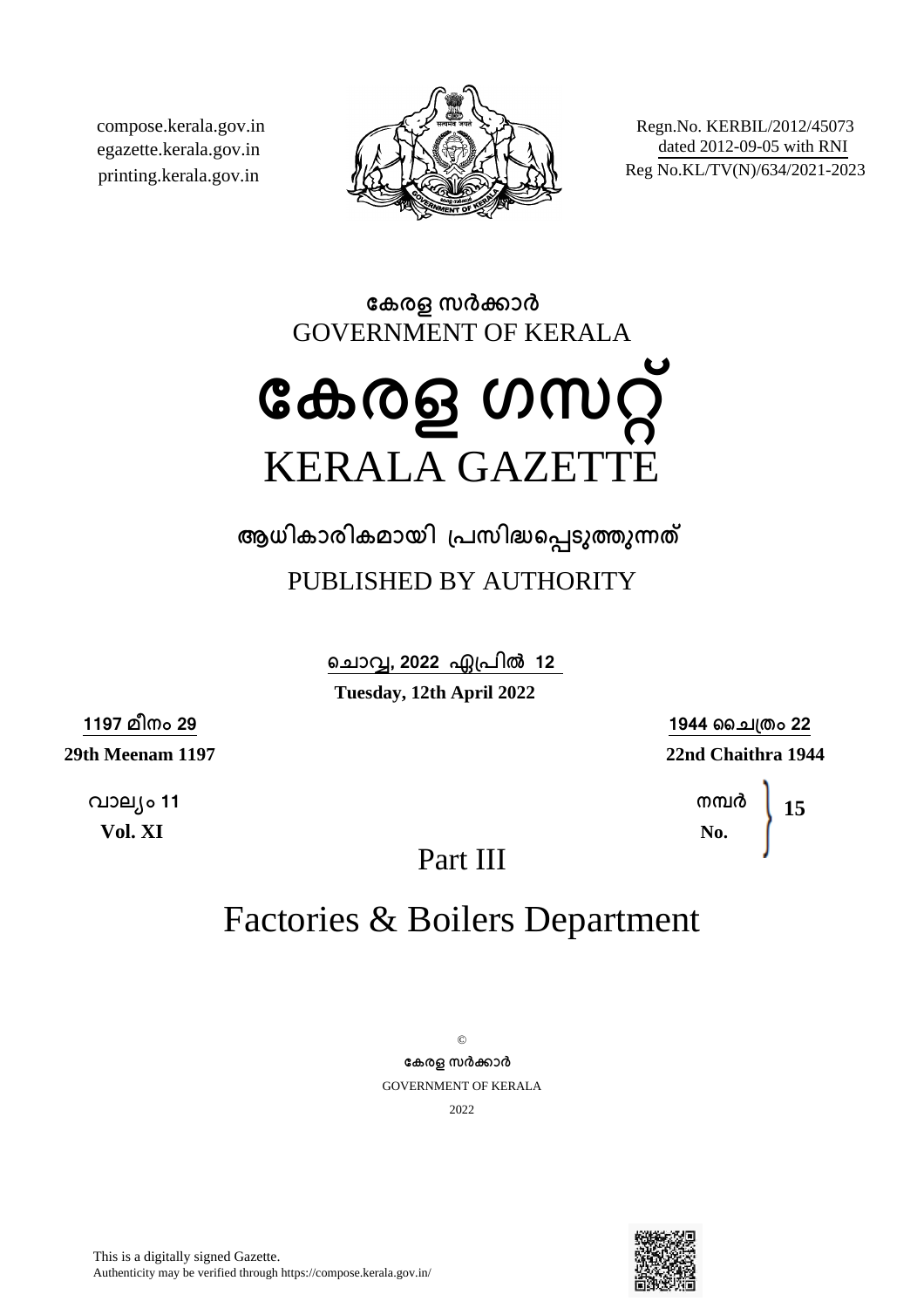compose.kerala.gov.in egazette.kerala.gov.in printing.kerala.gov.in



Regn.No. KERBIL/2012/45073 dated 2012-09-05 with RNI Reg No.KL/TV(N)/634/2021-2023

**േകരള സരകാര** GOVERNMENT OF KERALA

# **േകരള ഗസറ്** KERALA GAZETTE

**ആധികാരികമായി ്പസിദെപടുതുനത** PUBLISHED BY AUTHORITY

> ചൊവ്വ, 2022 ഏപ്രിൽ 12 **Tuesday, 12th April 2022**

**1197 മീനം 29 29th Meenam 1197**

> **വാല്ം 11 Vol. XI**

**1944 ൈച്തം 22 22nd Chaithra 1944**

> **നമര No. 15**

Part III

# Factories & Boilers Department

 $\odot$ **േകരള സരകാര** GOVERNMENT OF KERALA 2022

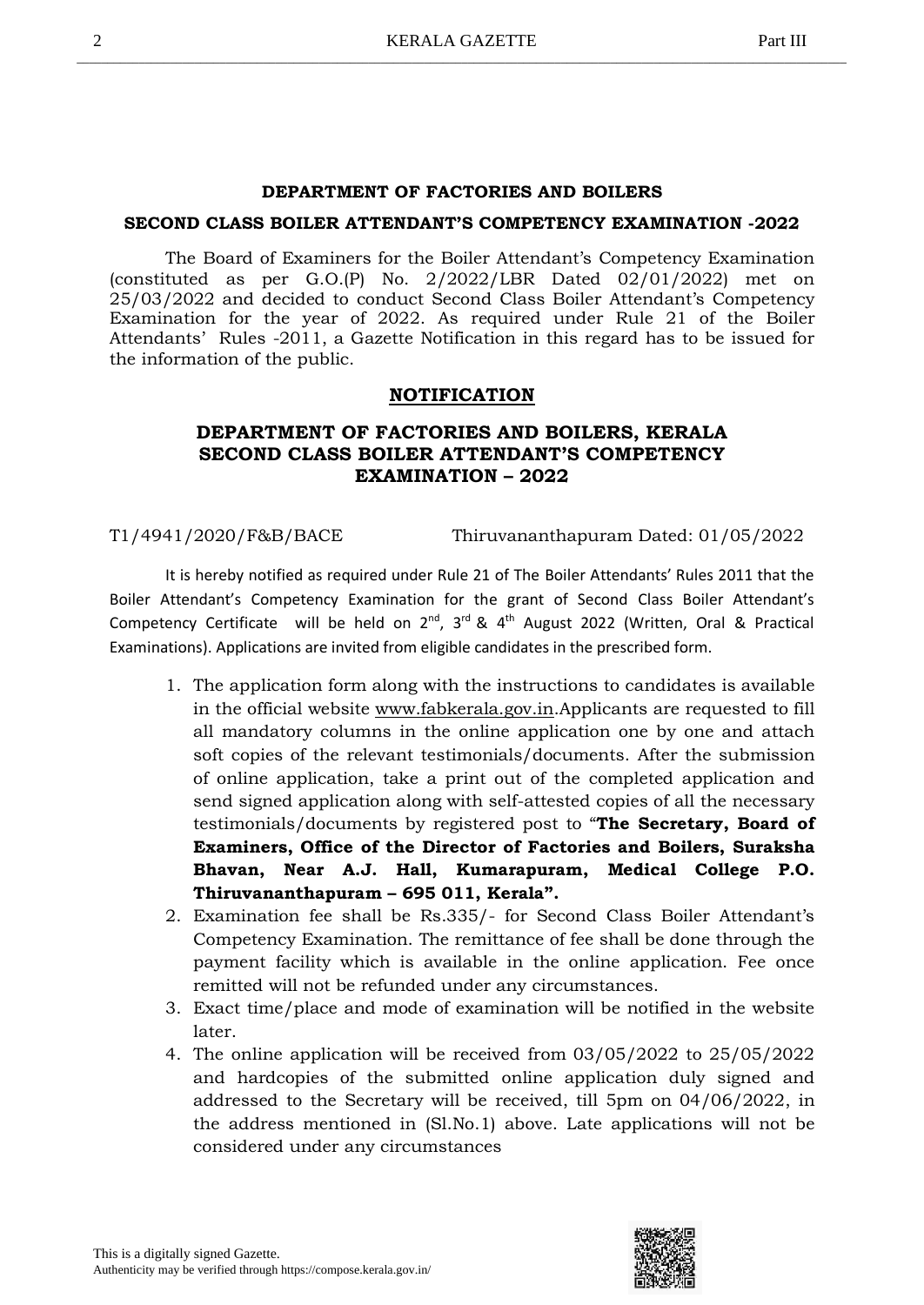#### **DEPARTMENT OF FACTORIES AND BOILERS**

#### **SECOND CLASS BOILER ATTENDANT'S COMPETENCY EXAMINATION -2022**

The Board of Examiners for the Boiler Attendant's Competency Examination (constituted as per G.O.(P) No. 2/2022/LBR Dated 02/01/2022) met on 25/03/2022 and decided to conduct Second Class Boiler Attendant's Competency Examination for the year of 2022. As required under Rule 21 of the Boiler Attendants' Rules -2011, a Gazette Notification in this regard has to be issued for the information of the public.

#### **NOTIFICATION**

### **DEPARTMENT OF FACTORIES AND BOILERS, KERALA SECOND CLASS BOILER ATTENDANT'S COMPETENCY EXAMINATION – 2022**

T1/4941/2020/F&B/BACE Thiruvananthapuram Dated: 01/05/2022

It is hereby notified as required under Rule 21 of The Boiler Attendants' Rules 2011 that the Boiler Attendant's Competency Examination for the grant of Second Class Boiler Attendant's Competency Certificate will be held on  $2^{nd}$ ,  $3^{rd}$  &  $4^{th}$  August 2022 (Written, Oral & Practical Examinations). Applications are invited from eligible candidates in the prescribed form.

- 1. The application form along with the instructions to candidates is available in the official website www.fabkerala.gov.in.Applicants are requested to fill all mandatory columns in the online application one by one and attach soft copies of the relevant testimonials/documents. After the submission of online application, take a print out of the completed application and send signed application along with self-attested copies of all the necessary testimonials/documents by registered post to "**The Secretary, Board of Examiners, Office of the Director of Factories and Boilers, Suraksha Bhavan, Near A.J. Hall, Kumarapuram, Medical College P.O. Thiruvananthapuram – 695 011, Kerala".**
- 2. Examination fee shall be Rs.335/- for Second Class Boiler Attendant's Competency Examination. The remittance of fee shall be done through the payment facility which is available in the online application. Fee once remitted will not be refunded under any circumstances.
- 3. Exact time/place and mode of examination will be notified in the website later.
- 4. The online application will be received from 03/05/2022 to 25/05/2022 and hardcopies of the submitted online application duly signed and addressed to the Secretary will be received, till 5pm on 04/06/2022, in the address mentioned in (Sl.No.1) above. Late applications will not be considered under any circumstances

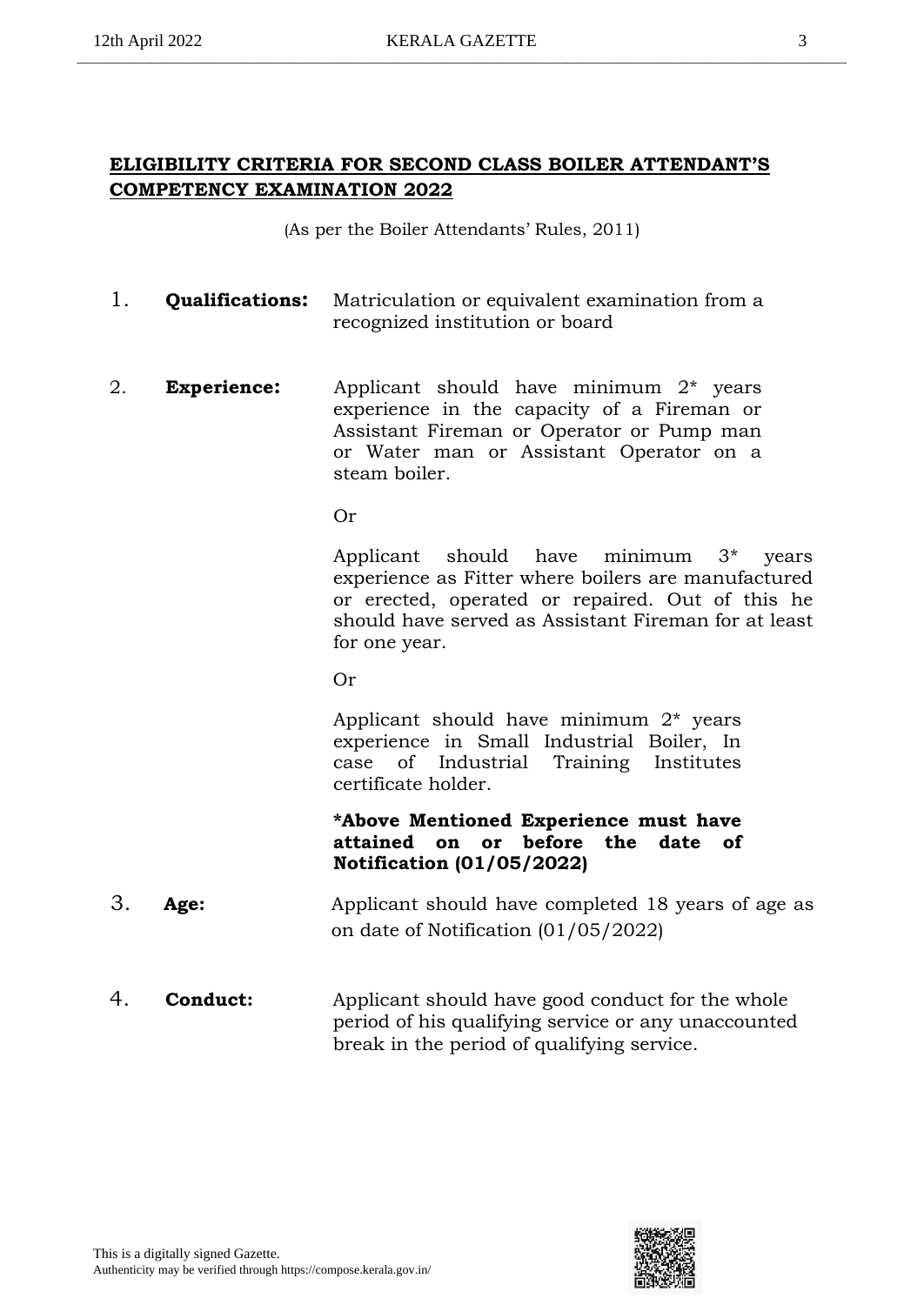# **ELIGIBILITY CRITERIA FOR SECOND CLASS BOILER ATTENDANT'S COMPETENCY EXAMINATION 2022**

(As per the Boiler Attendants' Rules, 2011)

- 1. **Qualifications:** Matriculation or equivalent examination from a recognized institution or board
- 2. **Experience:** Applicant should have minimum 2\* years experience in the capacity of a Fireman or Assistant Fireman or Operator or Pump man or Water man or Assistant Operator on a steam boiler.

Or

Applicant should have minimum 3\* years experience as Fitter where boilers are manufactured or erected, operated or repaired. Out of this he should have served as Assistant Fireman for at least for one year.

Or

Applicant should have minimum 2\* years experience in Small Industrial Boiler, In case of Industrial Training Institutes certificate holder.

# **\*Above Mentioned Experience must have attained on or before the date of Notification (01/05/2022)**

- 3. **Age:** Applicant should have completed 18 years of age as on date of Notification (01/05/2022)
- 4. **Conduct:** Applicant should have good conduct for the whole period of his qualifying service or any unaccounted break in the period of qualifying service.

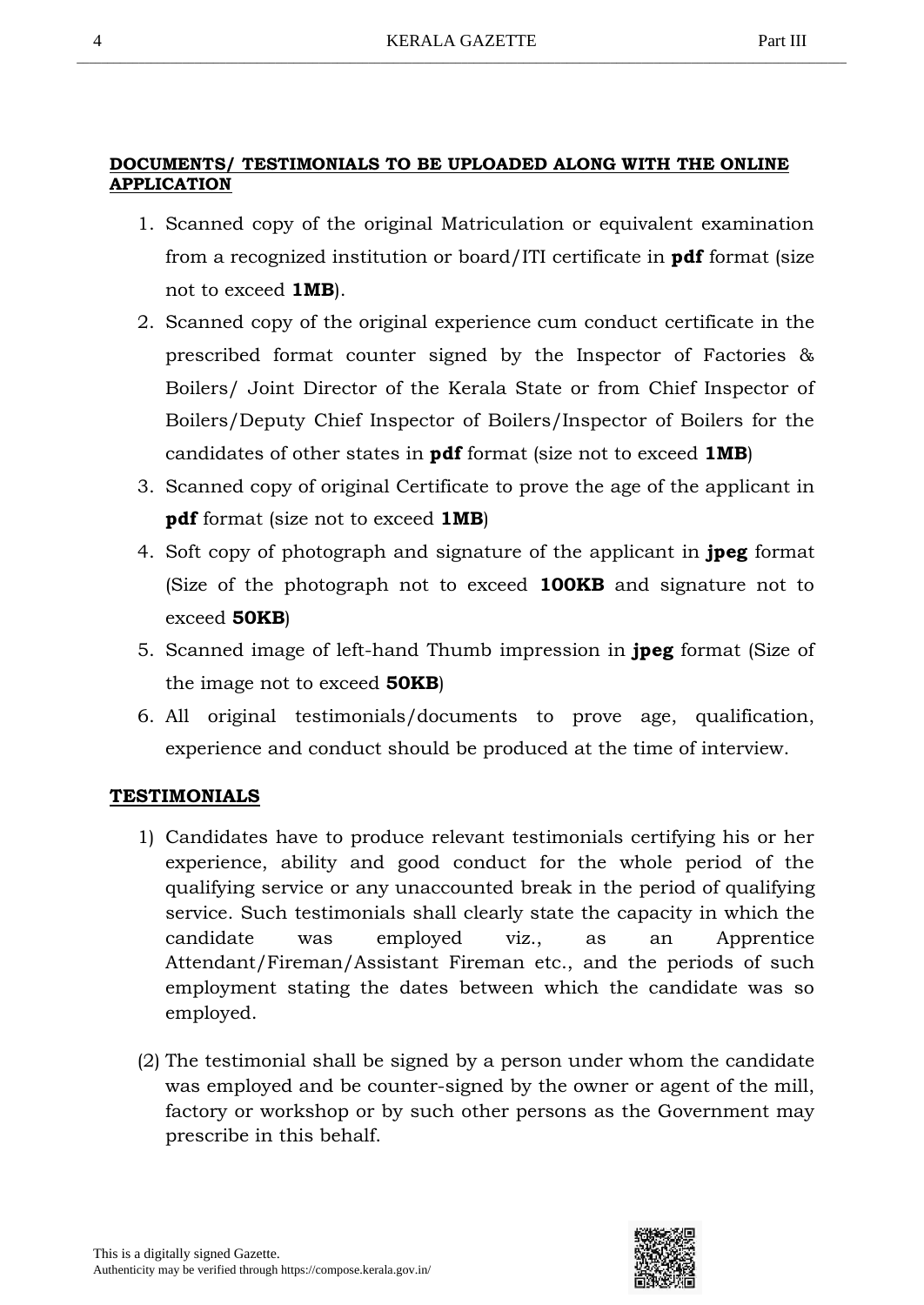#### **DOCUMENTS/ TESTIMONIALS TO BE UPLOADED ALONG WITH THE ONLINE APPLICATION**

- 1. Scanned copy of the original Matriculation or equivalent examination from a recognized institution or board/ITI certificate in **pdf** format (size not to exceed **1MB**).
- 2. Scanned copy of the original experience cum conduct certificate in the prescribed format counter signed by the Inspector of Factories & Boilers/ Joint Director of the Kerala State or from Chief Inspector of Boilers/Deputy Chief Inspector of Boilers/Inspector of Boilers for the candidates of other states in **pdf** format (size not to exceed **1MB**)
- 3. Scanned copy of original Certificate to prove the age of the applicant in **pdf** format (size not to exceed **1MB**)
- 4. Soft copy of photograph and signature of the applicant in **jpeg** format (Size of the photograph not to exceed **100KB** and signature not to exceed **50KB**)
- 5. Scanned image of left-hand Thumb impression in **jpeg** format (Size of the image not to exceed **50KB**)
- 6. All original testimonials/documents to prove age, qualification, experience and conduct should be produced at the time of interview.

# **TESTIMONIALS**

- 1) Candidates have to produce relevant testimonials certifying his or her experience, ability and good conduct for the whole period of the qualifying service or any unaccounted break in the period of qualifying service. Such testimonials shall clearly state the capacity in which the candidate was employed viz., as an Apprentice Attendant/Fireman/Assistant Fireman etc., and the periods of such employment stating the dates between which the candidate was so employed.
- (2) The testimonial shall be signed by a person under whom the candidate was employed and be counter-signed by the owner or agent of the mill, factory or workshop or by such other persons as the Government may prescribe in this behalf.

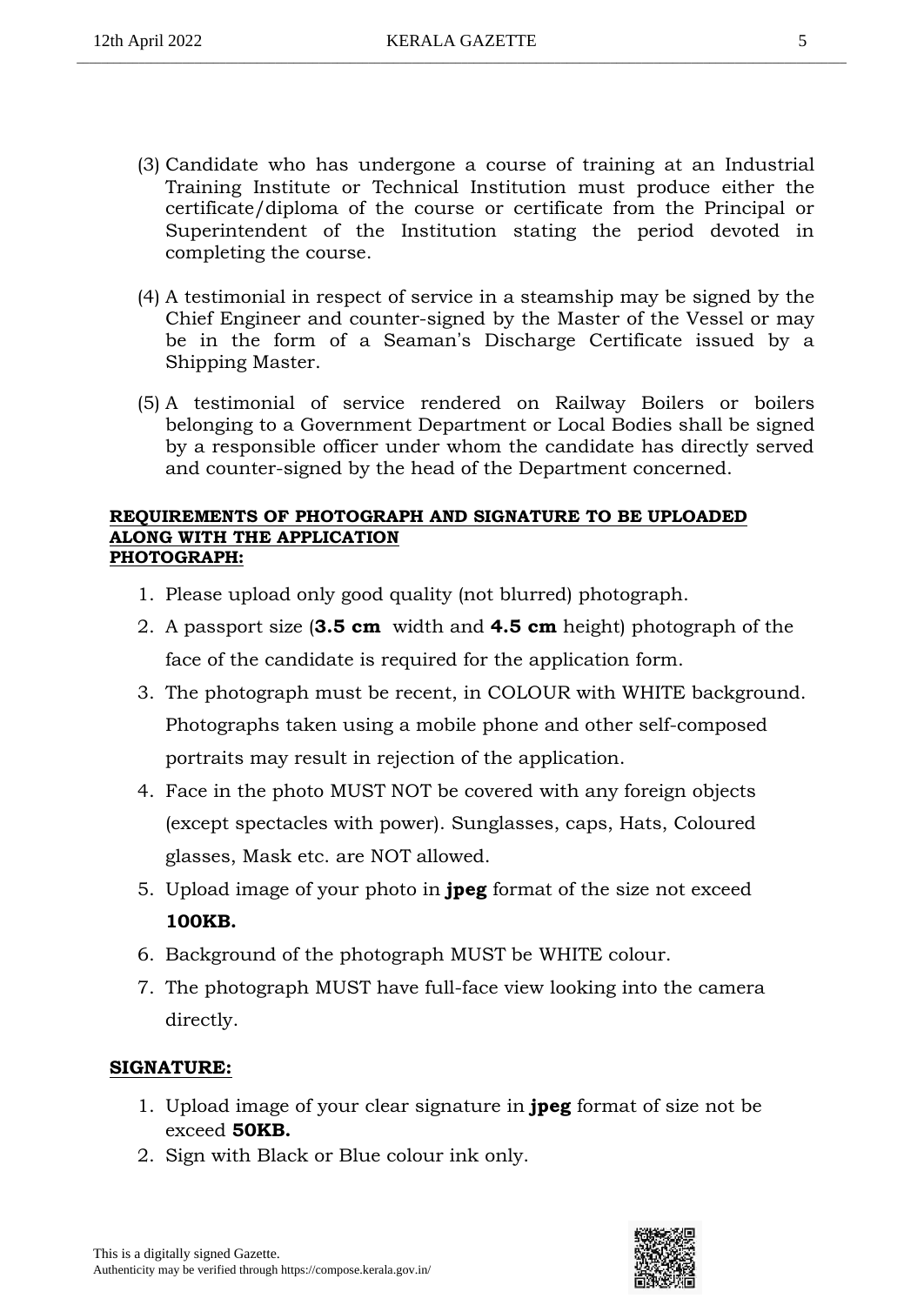- (3) Candidate who has undergone a course of training at an Industrial Training Institute or Technical Institution must produce either the certificate/diploma of the course or certificate from the Principal or Superintendent of the Institution stating the period devoted in completing the course.
- (4) A testimonial in respect of service in a steamship may be signed by the Chief Engineer and counter-signed by the Master of the Vessel or may be in the form of a Seaman's Discharge Certificate issued by a Shipping Master.
- (5) A testimonial of service rendered on Railway Boilers or boilers belonging to a Government Department or Local Bodies shall be signed by a responsible officer under whom the candidate has directly served and counter-signed by the head of the Department concerned.

#### **REQUIREMENTS OF PHOTOGRAPH AND SIGNATURE TO BE UPLOADED ALONG WITH THE APPLICATION PHOTOGRAPH:**

- 1. Please upload only good quality (not blurred) photograph.
- 2. A passport size (**3.5 cm** width and **4.5 cm** height) photograph of the face of the candidate is required for the application form.
- 3. The photograph must be recent, in COLOUR with WHITE background. Photographs taken using a mobile phone and other self-composed portraits may result in rejection of the application.
- 4. Face in the photo MUST NOT be covered with any foreign objects (except spectacles with power). Sunglasses, caps, Hats, Coloured glasses, Mask etc. are NOT allowed.
- 5. Upload image of your photo in **jpeg** format of the size not exceed **100KB.**
- 6. Background of the photograph MUST be WHITE colour.
- 7. The photograph MUST have full-face view looking into the camera directly.

# **SIGNATURE:**

- 1. Upload image of your clear signature in **jpeg** format of size not be exceed **50KB.**
- 2. Sign with Black or Blue colour ink only.

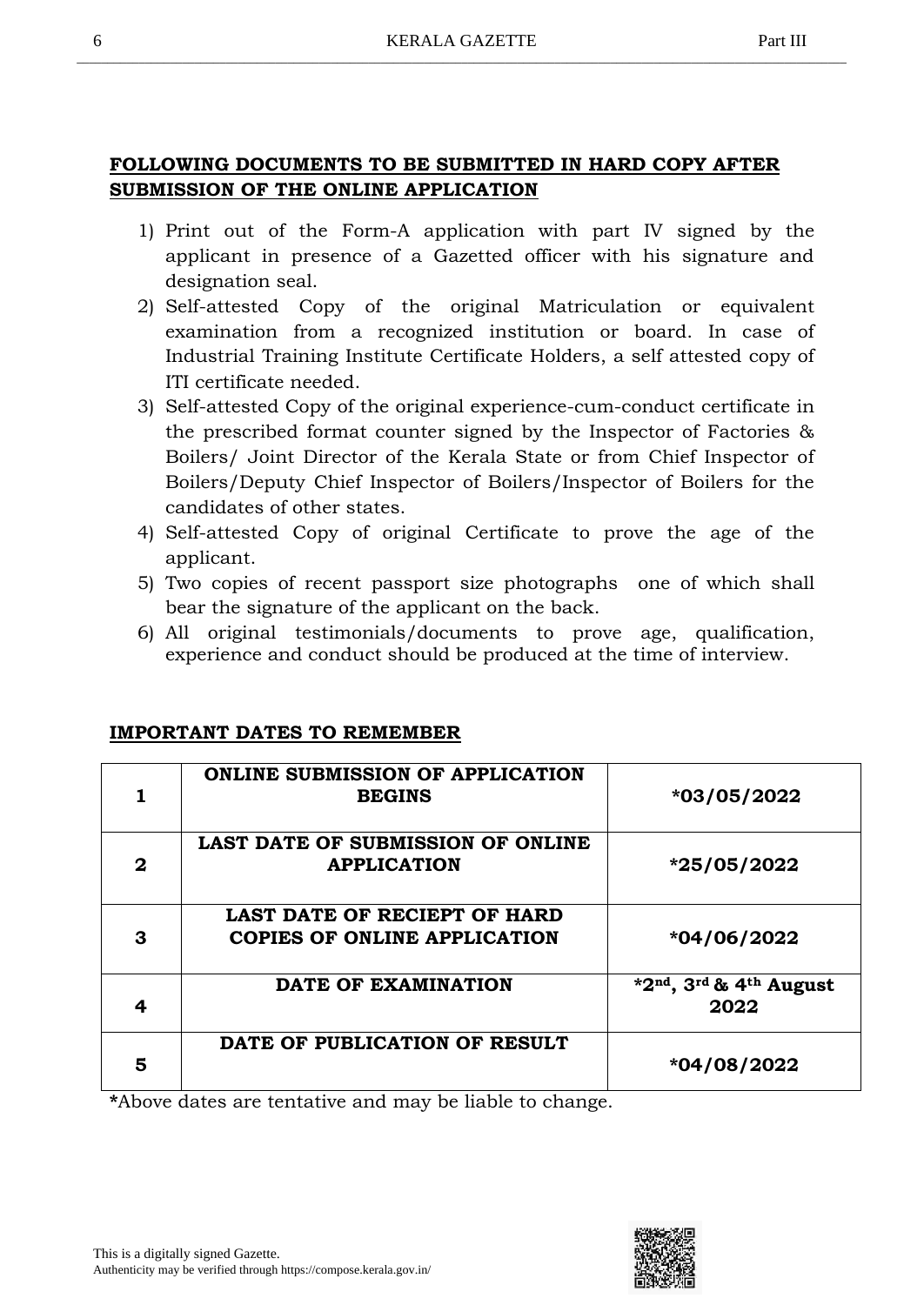# **FOLLOWING DOCUMENTS TO BE SUBMITTED IN HARD COPY AFTER SUBMISSION OF THE ONLINE APPLICATION**

- 1) Print out of the Form-A application with part IV signed by the applicant in presence of a Gazetted officer with his signature and designation seal.
- 2) Self-attested Copy of the original Matriculation or equivalent examination from a recognized institution or board. In case of Industrial Training Institute Certificate Holders, a self attested copy of ITI certificate needed.
- 3) Self-attested Copy of the original experience-cum-conduct certificate in the prescribed format counter signed by the Inspector of Factories & Boilers/ Joint Director of the Kerala State or from Chief Inspector of Boilers/Deputy Chief Inspector of Boilers/Inspector of Boilers for the candidates of other states.
- 4) Self-attested Copy of original Certificate to prove the age of the applicant.
- 5) Two copies of recent passport size photographs one of which shall bear the signature of the applicant on the back.
- 6) All original testimonials/documents to prove age, qualification, experience and conduct should be produced at the time of interview.

# **IMPORTANT DATES TO REMEMBER**

|   | <b>ONLINE SUBMISSION OF APPLICATION</b><br><b>BEGINS</b>                   | *03/05/2022                    |
|---|----------------------------------------------------------------------------|--------------------------------|
| 2 | <b>LAST DATE OF SUBMISSION OF ONLINE</b><br><b>APPLICATION</b>             | *25/05/2022                    |
| 3 | <b>LAST DATE OF RECIEPT OF HARD</b><br><b>COPIES OF ONLINE APPLICATION</b> | *04/06/2022                    |
| 4 | DATE OF EXAMINATION                                                        | *2nd, 3rd & 4th August<br>2022 |
| 5 | DATE OF PUBLICATION OF RESULT                                              | *04/08/2022                    |

**\***Above dates are tentative and may be liable to change.

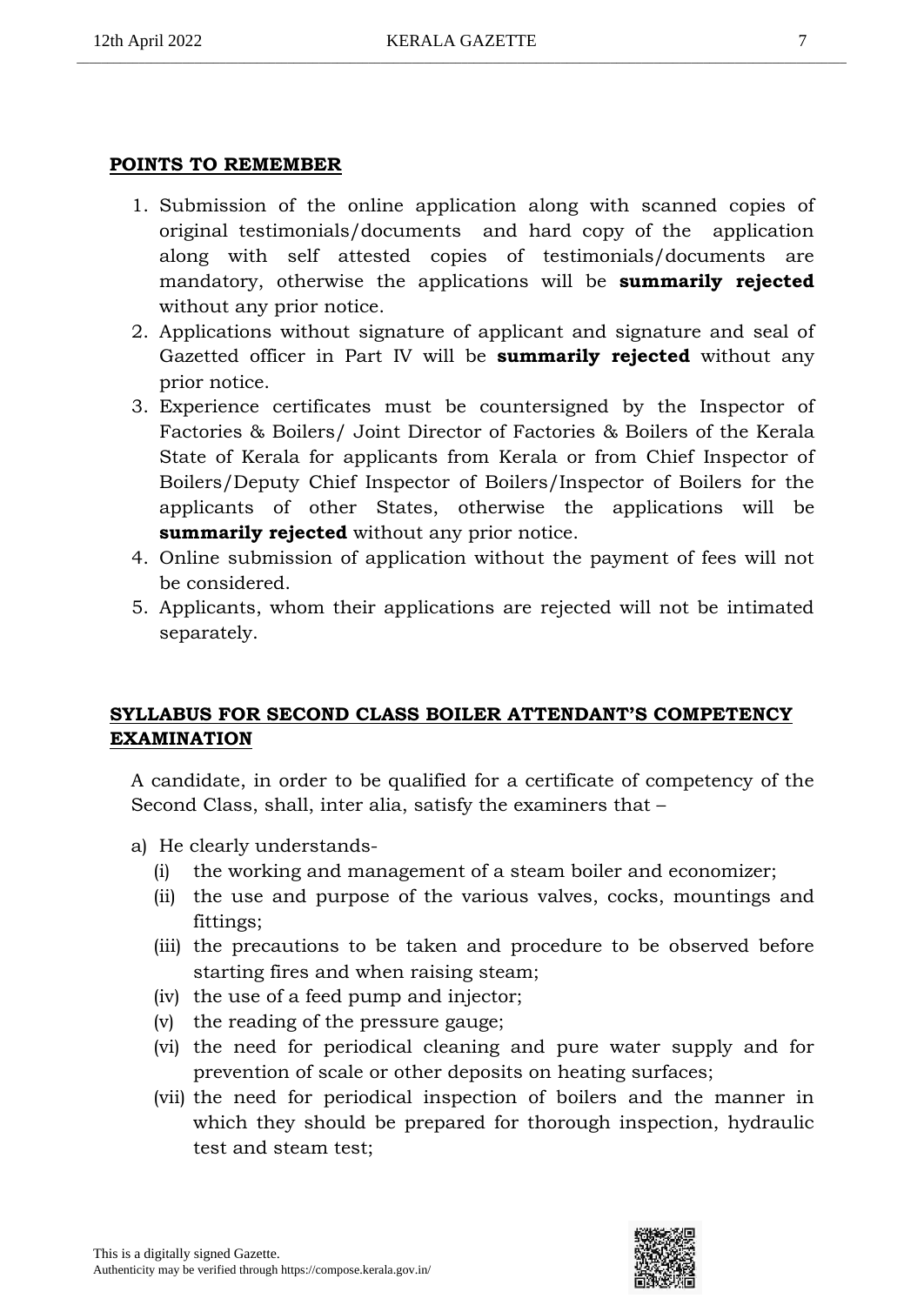# **POINTS TO REMEMBER**

- 1. Submission of the online application along with scanned copies of original testimonials/documents and hard copy of the application along with self attested copies of testimonials/documents are mandatory, otherwise the applications will be **summarily rejected** without any prior notice.
- 2. Applications without signature of applicant and signature and seal of Gazetted officer in Part IV will be **summarily rejected** without any prior notice.
- 3. Experience certificates must be countersigned by the Inspector of Factories & Boilers/ Joint Director of Factories & Boilers of the Kerala State of Kerala for applicants from Kerala or from Chief Inspector of Boilers/Deputy Chief Inspector of Boilers/Inspector of Boilers for the applicants of other States, otherwise the applications will be **summarily rejected** without any prior notice.
- 4. Online submission of application without the payment of fees will not be considered.
- 5. Applicants, whom their applications are rejected will not be intimated separately.

# **SYLLABUS FOR SECOND CLASS BOILER ATTENDANT'S COMPETENCY EXAMINATION**

A candidate, in order to be qualified for a certificate of competency of the Second Class, shall, inter alia, satisfy the examiners that –

- a) He clearly understands-
	- (i) the working and management of a steam boiler and economizer;
	- (ii) the use and purpose of the various valves, cocks, mountings and fittings;
	- (iii) the precautions to be taken and procedure to be observed before starting fires and when raising steam;
	- (iv) the use of a feed pump and injector;
	- (v) the reading of the pressure gauge;
	- (vi) the need for periodical cleaning and pure water supply and for prevention of scale or other deposits on heating surfaces;
	- (vii) the need for periodical inspection of boilers and the manner in which they should be prepared for thorough inspection, hydraulic test and steam test;

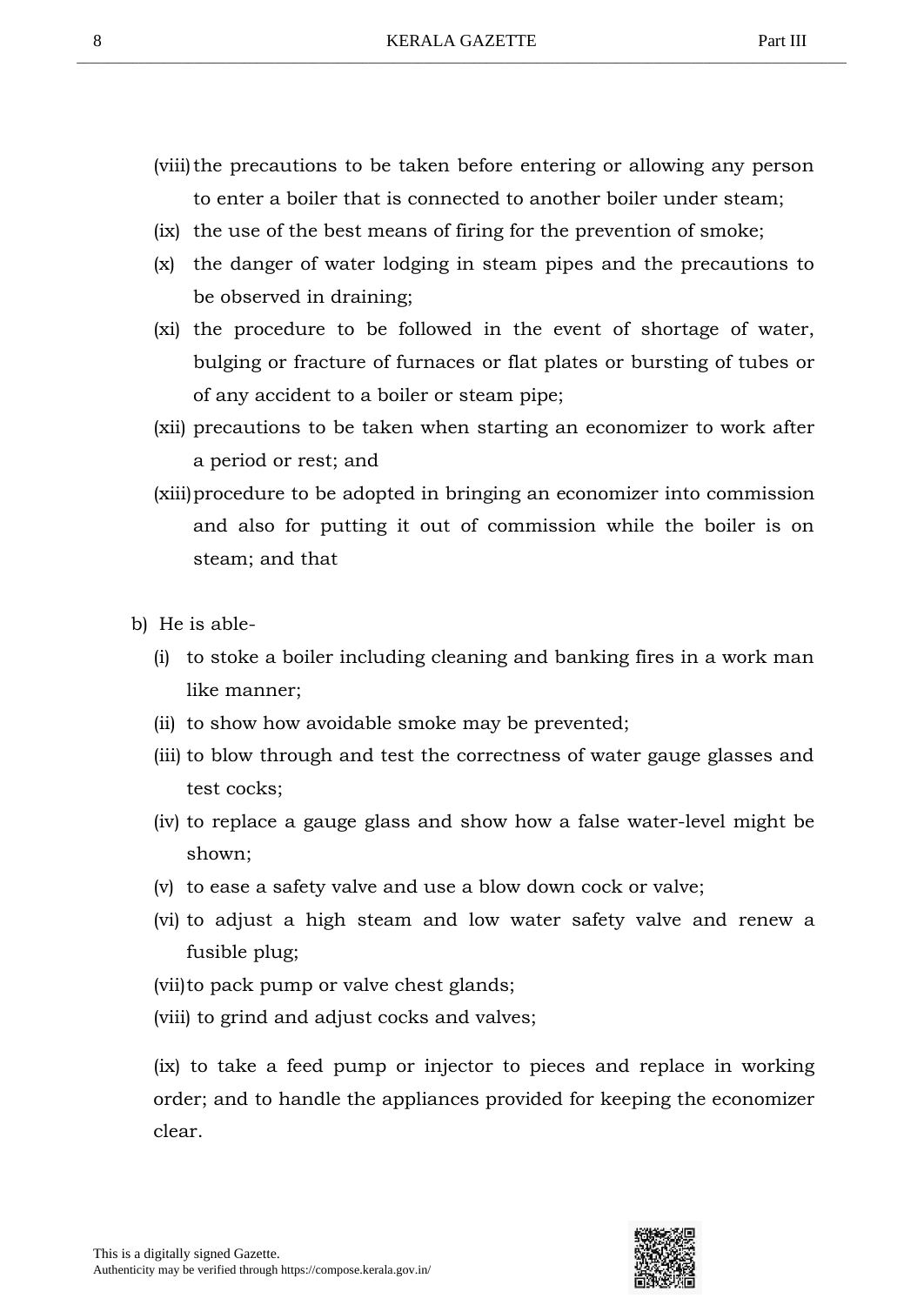- (viii) the precautions to be taken before entering or allowing any person to enter a boiler that is connected to another boiler under steam;
- (ix) the use of the best means of firing for the prevention of smoke;
- (x) the danger of water lodging in steam pipes and the precautions to be observed in draining;
- (xi) the procedure to be followed in the event of shortage of water, bulging or fracture of furnaces or flat plates or bursting of tubes or of any accident to a boiler or steam pipe;
- (xii) precautions to be taken when starting an economizer to work after a period or rest; and
- (xiii)procedure to be adopted in bringing an economizer into commission and also for putting it out of commission while the boiler is on steam; and that
- b) He is able-
	- (i) to stoke a boiler including cleaning and banking fires in a work man like manner;
	- (ii) to show how avoidable smoke may be prevented;
	- (iii) to blow through and test the correctness of water gauge glasses and test cocks;
	- (iv) to replace a gauge glass and show how a false water-level might be shown;
	- (v) to ease a safety valve and use a blow down cock or valve;
	- (vi) to adjust a high steam and low water safety valve and renew a fusible plug;
	- (vii)to pack pump or valve chest glands;
	- (viii) to grind and adjust cocks and valves;

(ix) to take a feed pump or injector to pieces and replace in working order; and to handle the appliances provided for keeping the economizer clear.

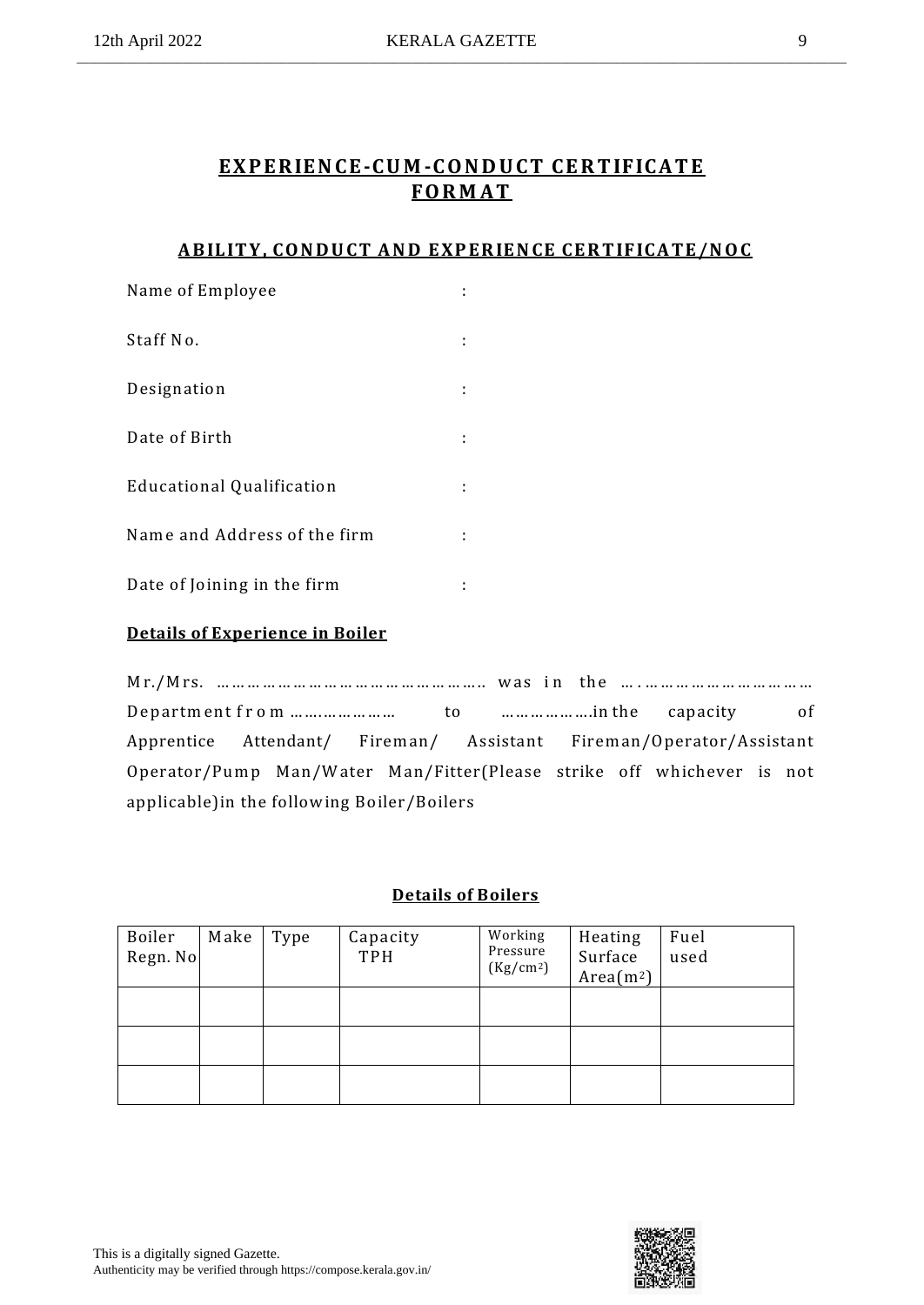# **E X P E R IE N CE-CU M -C O N D U CT CE R T IFIC A T E FO R M A T**

# **A B IL IT Y , CO N D U CT A N D E XP ER IE N CE CE R T IFICA TE /N O C**

| Name of Employee             |  |
|------------------------------|--|
| Staff No.                    |  |
| Designation                  |  |
| Date of Birth                |  |
| Educational Qualification    |  |
| Name and Address of the firm |  |
| Date of Joining in the firm  |  |

# **Details of Experience in Boiler**

M r./M rs. … … … … … … … … … … … … … … … … ….. w as i n th e … . … … … … … … … … … … … D ep artm en t f r o m …….…………… to ……………….in the capacity of Apprentice Attendant/ Firem an/ Assistant Firem an/Operator/Assistant Operator/Pump Man/Water Man/Fitter(Please strike off whichever is not applicable)in the follow ing Boiler/Boilers

# **Details of Boilers**

| Boiler<br>Regn. No | Make | Type | Capacity<br>TPH | Working<br>Pressure<br>(Kg/cm <sup>2</sup> ) | Heating<br>Surface<br>Area(m <sup>2</sup> ) | Fuel<br>used |
|--------------------|------|------|-----------------|----------------------------------------------|---------------------------------------------|--------------|
|                    |      |      |                 |                                              |                                             |              |
|                    |      |      |                 |                                              |                                             |              |
|                    |      |      |                 |                                              |                                             |              |